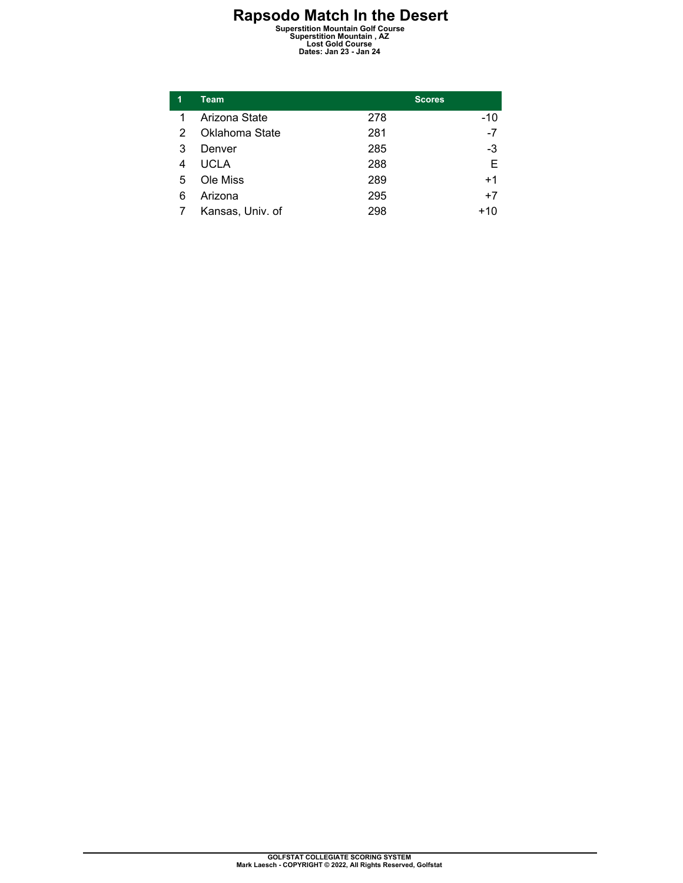**Rapsodo Match In the Desert Superstition Mountain Golf Course Superstition Mountain , AZ Lost Gold Course Dates: Jan 23 - Jan 24** 

| 1 | <b>Team</b>      |     | <b>Scores</b> |  |
|---|------------------|-----|---------------|--|
| 1 | Arizona State    | 278 | $-10$         |  |
| 2 | Oklahoma State   | 281 | -7            |  |
| 3 | Denver           | 285 | $-3$          |  |
| 4 | <b>UCLA</b>      | 288 | E             |  |
| 5 | Ole Miss         | 289 | $+1$          |  |
| 6 | Arizona          | 295 | $+7$          |  |
|   | Kansas, Univ. of | 298 | +10           |  |